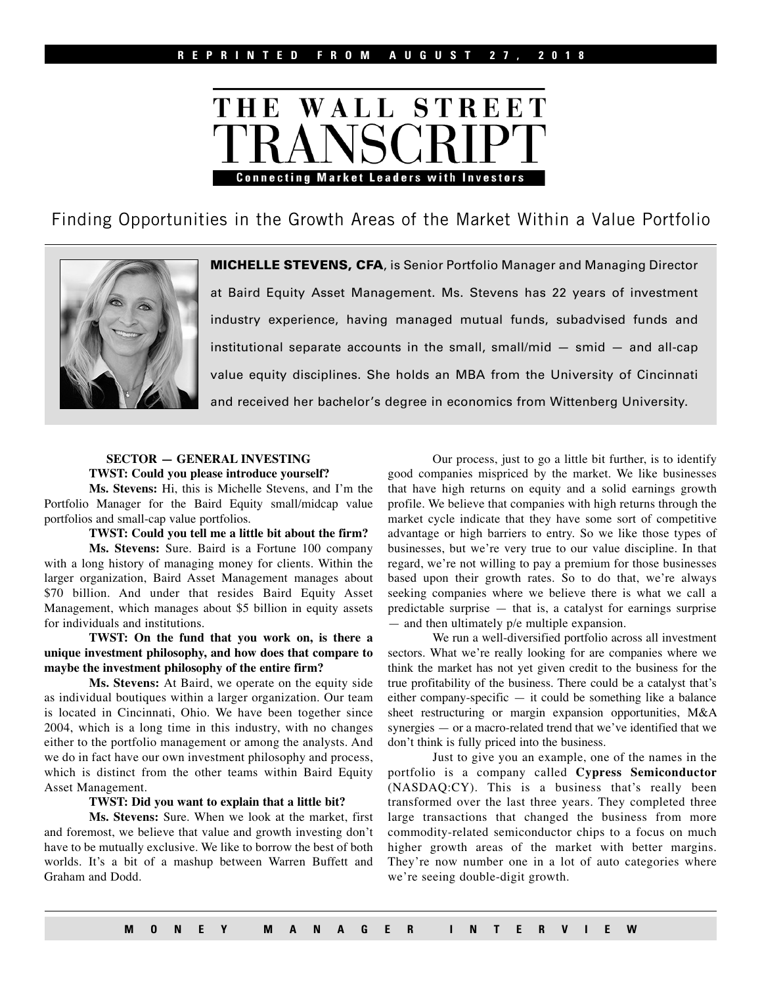

Finding Opportunities in the Growth Areas of the Market Within a Value Portfolio



MICHELLE STEVENS, CFA, is Senior Portfolio Manager and Managing Director at Baird Equity Asset Management. Ms. Stevens has 22 years of investment industry experience, having managed mutual funds, subadvised funds and institutional separate accounts in the small, small/mid  $-$  smid  $-$  and all-cap value equity disciplines. She holds an MBA from the University of Cincinnati and received her bachelor's degree in economics from Wittenberg University.

## **SECTOR — GENERAL INVESTING TWST: Could you please introduce yourself?**

**Ms. Stevens:** Hi, this is Michelle Stevens, and I'm the Portfolio Manager for the Baird Equity small/midcap value portfolios and small-cap value portfolios.

**TWST: Could you tell me a little bit about the firm?**

**Ms. Stevens:** Sure. Baird is a Fortune 100 company with a long history of managing money for clients. Within the larger organization, Baird Asset Management manages about \$70 billion. And under that resides Baird Equity Asset Management, which manages about \$5 billion in equity assets for individuals and institutions.

**TWST: On the fund that you work on, is there a unique investment philosophy, and how does that compare to maybe the investment philosophy of the entire firm?**

**Ms. Stevens:** At Baird, we operate on the equity side as individual boutiques within a larger organization. Our team is located in Cincinnati, Ohio. We have been together since 2004, which is a long time in this industry, with no changes either to the portfolio management or among the analysts. And we do in fact have our own investment philosophy and process, which is distinct from the other teams within Baird Equity Asset Management.

## **TWST: Did you want to explain that a little bit?**

**Ms. Stevens:** Sure. When we look at the market, first and foremost, we believe that value and growth investing don't have to be mutually exclusive. We like to borrow the best of both worlds. It's a bit of a mashup between Warren Buffett and Graham and Dodd.

Our process, just to go a little bit further, is to identify good companies mispriced by the market. We like businesses that have high returns on equity and a solid earnings growth profile. We believe that companies with high returns through the market cycle indicate that they have some sort of competitive advantage or high barriers to entry. So we like those types of businesses, but we're very true to our value discipline. In that regard, we're not willing to pay a premium for those businesses based upon their growth rates. So to do that, we're always seeking companies where we believe there is what we call a predictable surprise — that is, a catalyst for earnings surprise — and then ultimately p/e multiple expansion.

We run a well-diversified portfolio across all investment sectors. What we're really looking for are companies where we think the market has not yet given credit to the business for the true profitability of the business. There could be a catalyst that's either company-specific  $-$  it could be something like a balance sheet restructuring or margin expansion opportunities, M&A synergies — or a macro-related trend that we've identified that we don't think is fully priced into the business.

Just to give you an example, one of the names in the portfolio is a company called **Cypress Semiconductor**  (NASDAQ:CY). This is a business that's really been transformed over the last three years. They completed three large transactions that changed the business from more commodity-related semiconductor chips to a focus on much higher growth areas of the market with better margins. They're now number one in a lot of auto categories where we're seeing double-digit growth.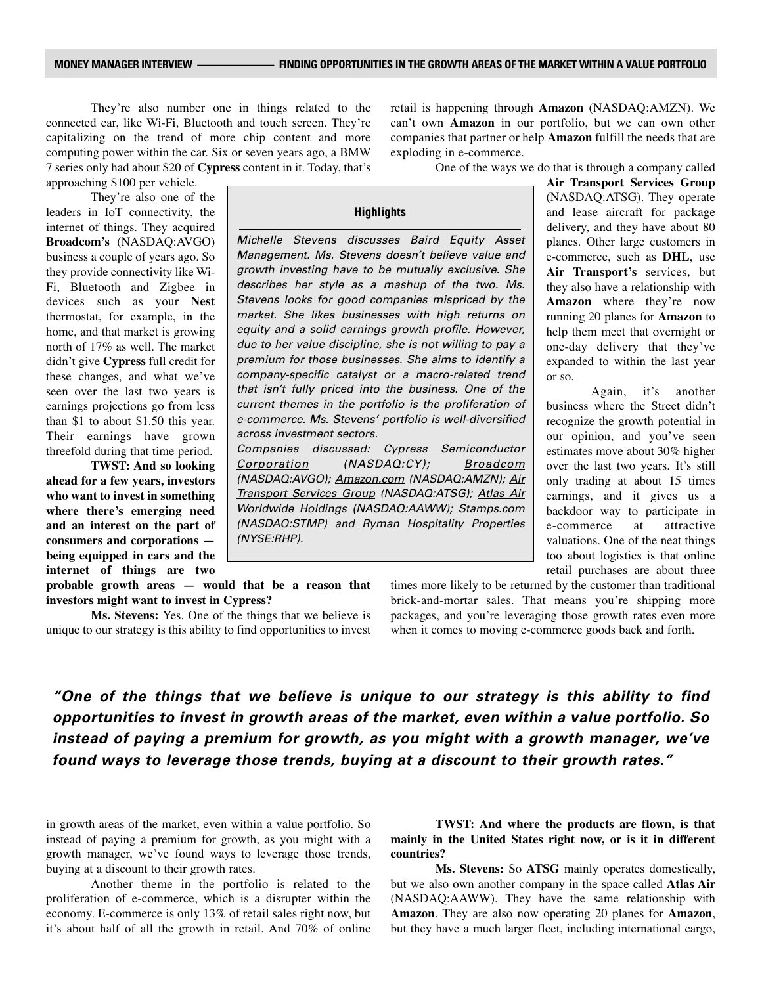They're also number one in things related to the connected car, like Wi-Fi, Bluetooth and touch screen. They're capitalizing on the trend of more chip content and more computing power within the car. Six or seven years ago, a BMW 7 series only had about \$20 of **Cypress** content in it. Today, that's approaching \$100 per vehicle.

They're also one of the leaders in IoT connectivity, the internet of things. They acquired **Broadcom's** (NASDAQ:AVGO) business a couple of years ago. So they provide connectivity like Wi-Fi, Bluetooth and Zigbee in devices such as your **Nest** thermostat, for example, in the home, and that market is growing north of 17% as well. The market didn't give **Cypress** full credit for these changes, and what we've seen over the last two years is earnings projections go from less than \$1 to about \$1.50 this year. Their earnings have grown threefold during that time period.

**TWST: And so looking ahead for a few years, investors who want to invest in something where there's emerging need and an interest on the part of consumers and corporations being equipped in cars and the internet of things are two** 

**probable growth areas — would that be a reason that investors might want to invest in Cypress?**

**Ms. Stevens:** Yes. One of the things that we believe is unique to our strategy is this ability to find opportunities to invest retail is happening through **Amazon** (NASDAQ:AMZN). We can't own **Amazon** in our portfolio, but we can own other companies that partner or help **Amazon** fulfill the needs that are exploding in e-commerce.

One of the ways we do that is through a company called

## **Highlights**

Michelle Stevens discusses Baird Equity Asset Management. Ms. Stevens doesn't believe value and growth investing have to be mutually exclusive. She describes her style as a mashup of the two. Ms. Stevens looks for good companies mispriced by the market. She likes businesses with high returns on equity and a solid earnings growth profile. However, due to her value discipline, she is not willing to pay a premium for those businesses. She aims to identify a company-specific catalyst or a macro-related trend that isn't fully priced into the business. One of the current themes in the portfolio is the proliferation of e-commerce. Ms. Stevens' portfolio is well-diversified across investment sectors.

Companies discussed: Cypress Semiconductor Corporation (NASDAQ:CY); Broadcom (NASDAQ:AVGO); Amazon.com (NASDAQ:AMZN); Air Transport Services Group (NASDAQ:ATSG); Atlas Air Worldwide Holdings (NASDAQ:AAWW); Stamps.com (NASDAQ:STMP) and Ryman Hospitality Properties (NYSE:RHP).

**Air Transport Services Group**  (NASDAQ:ATSG). They operate and lease aircraft for package delivery, and they have about 80 planes. Other large customers in e-commerce, such as **DHL**, use **Air Transport's** services, but they also have a relationship with **Amazon** where they're now running 20 planes for **Amazon** to help them meet that overnight or one-day delivery that they've expanded to within the last year or so.

Again, it's another business where the Street didn't recognize the growth potential in our opinion, and you've seen estimates move about 30% higher over the last two years. It's still only trading at about 15 times earnings, and it gives us a backdoor way to participate in e-commerce at attractive valuations. One of the neat things too about logistics is that online retail purchases are about three

times more likely to be returned by the customer than traditional brick-and-mortar sales. That means you're shipping more packages, and you're leveraging those growth rates even more when it comes to moving e-commerce goods back and forth.

*"One of the things that we believe is unique to our strategy is this ability to find opportunities to invest in growth areas of the market, even within a value portfolio. So instead of paying a premium for growth, as you might with a growth manager, we've found ways to leverage those trends, buying at a discount to their growth rates."*

in growth areas of the market, even within a value portfolio. So instead of paying a premium for growth, as you might with a growth manager, we've found ways to leverage those trends, buying at a discount to their growth rates.

Another theme in the portfolio is related to the proliferation of e-commerce, which is a disrupter within the economy. E-commerce is only 13% of retail sales right now, but it's about half of all the growth in retail. And 70% of online

**TWST: And where the products are flown, is that mainly in the United States right now, or is it in different countries?**

**Ms. Stevens:** So **ATSG** mainly operates domestically, but we also own another company in the space called **Atlas Air**  (NASDAQ:AAWW). They have the same relationship with **Amazon**. They are also now operating 20 planes for **Amazon**, but they have a much larger fleet, including international cargo,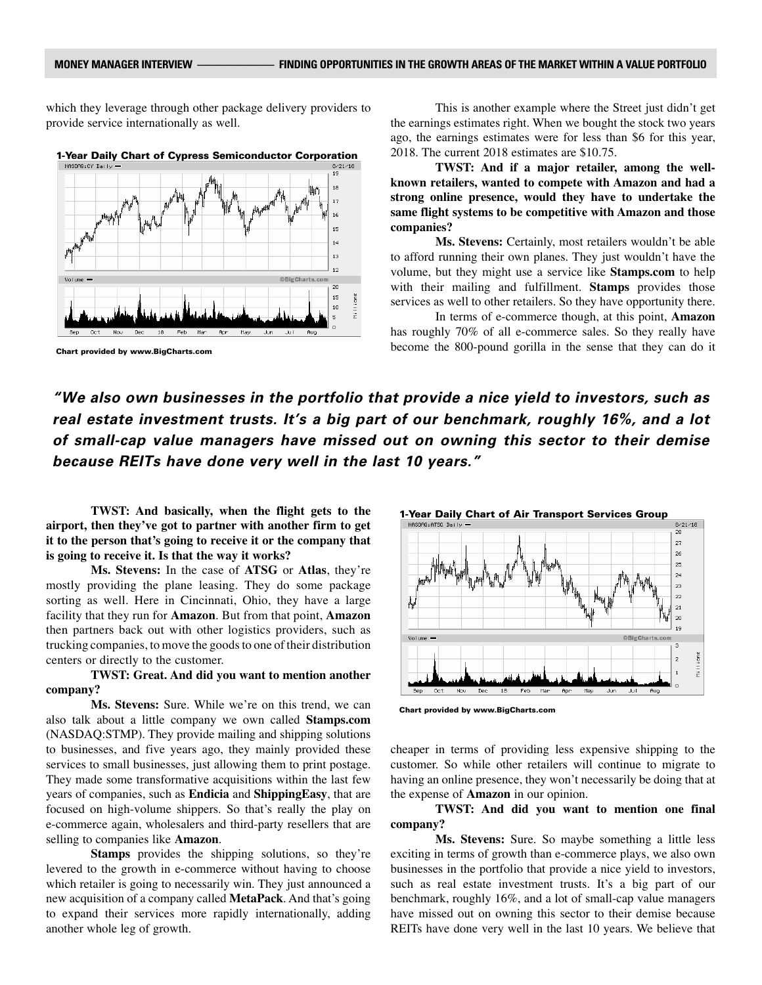which they leverage through other package delivery providers to provide service internationally as well.



1-Year Daily Chart of Cypress Semiconductor Corporation

Chart provided by www.BigCharts.com

This is another example where the Street just didn't get the earnings estimates right. When we bought the stock two years ago, the earnings estimates were for less than \$6 for this year, 2018. The current 2018 estimates are \$10.75.

**TWST: And if a major retailer, among the wellknown retailers, wanted to compete with Amazon and had a strong online presence, would they have to undertake the same flight systems to be competitive with Amazon and those companies?**

**Ms. Stevens:** Certainly, most retailers wouldn't be able to afford running their own planes. They just wouldn't have the volume, but they might use a service like **Stamps.com** to help with their mailing and fulfillment. **Stamps** provides those services as well to other retailers. So they have opportunity there.

In terms of e-commerce though, at this point, **Amazon** has roughly 70% of all e-commerce sales. So they really have become the 800-pound gorilla in the sense that they can do it

*"We also own businesses in the portfolio that provide a nice yield to investors, such as real estate investment trusts. It's a big part of our benchmark, roughly 16%, and a lot of small-cap value managers have missed out on owning this sector to their demise because REITs have done very well in the last 10 years."*

**TWST: And basically, when the flight gets to the airport, then they've got to partner with another firm to get it to the person that's going to receive it or the company that is going to receive it. Is that the way it works?**

**Ms. Stevens:** In the case of **ATSG** or **Atlas**, they're mostly providing the plane leasing. They do some package sorting as well. Here in Cincinnati, Ohio, they have a large facility that they run for **Amazon**. But from that point, **Amazon** then partners back out with other logistics providers, such as trucking companies, to move the goods to one of their distribution centers or directly to the customer.

## **TWST: Great. And did you want to mention another company?**

**Ms. Stevens:** Sure. While we're on this trend, we can also talk about a little company we own called **Stamps.com**  (NASDAQ:STMP). They provide mailing and shipping solutions to businesses, and five years ago, they mainly provided these services to small businesses, just allowing them to print postage. They made some transformative acquisitions within the last few years of companies, such as **Endicia** and **ShippingEasy**, that are focused on high-volume shippers. So that's really the play on e-commerce again, wholesalers and third-party resellers that are selling to companies like **Amazon**.

**Stamps** provides the shipping solutions, so they're levered to the growth in e-commerce without having to choose which retailer is going to necessarily win. They just announced a new acquisition of a company called **MetaPack**. And that's going to expand their services more rapidly internationally, adding another whole leg of growth.



Chart provided by www.BigCharts.com

cheaper in terms of providing less expensive shipping to the customer. So while other retailers will continue to migrate to having an online presence, they won't necessarily be doing that at the expense of **Amazon** in our opinion.

**TWST: And did you want to mention one final company?**

**Ms. Stevens:** Sure. So maybe something a little less exciting in terms of growth than e-commerce plays, we also own businesses in the portfolio that provide a nice yield to investors, such as real estate investment trusts. It's a big part of our benchmark, roughly 16%, and a lot of small-cap value managers have missed out on owning this sector to their demise because REITs have done very well in the last 10 years. We believe that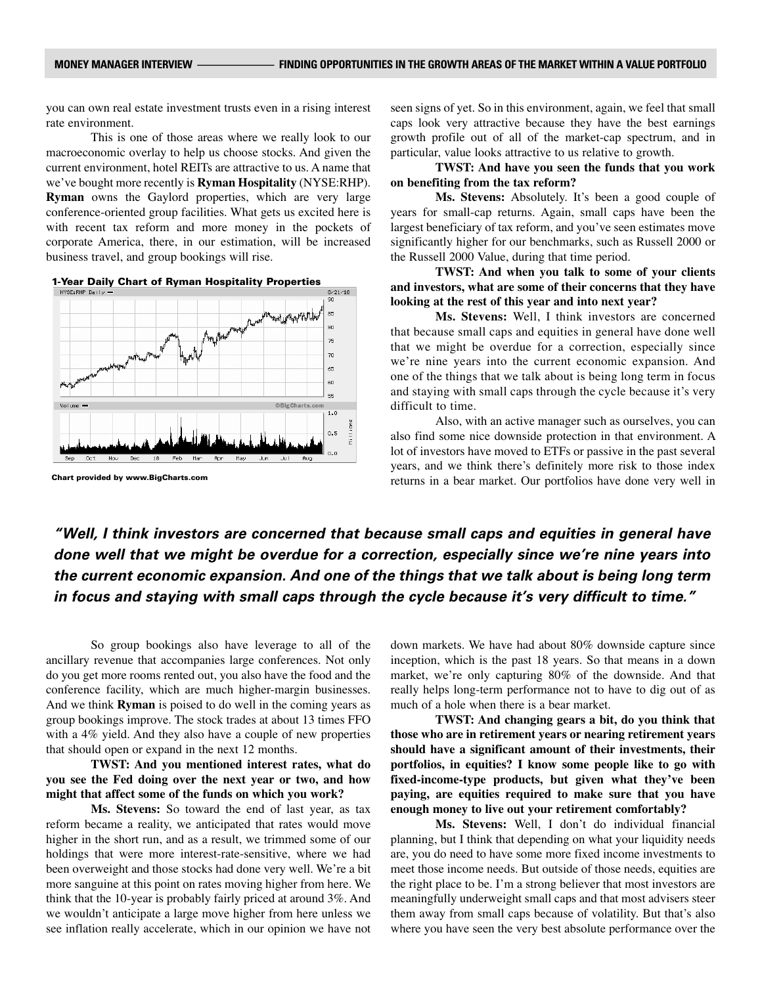you can own real estate investment trusts even in a rising interest rate environment.

This is one of those areas where we really look to our macroeconomic overlay to help us choose stocks. And given the current environment, hotel REITs are attractive to us. A name that we've bought more recently is **Ryman Hospitality** (NYSE:RHP). **Ryman** owns the Gaylord properties, which are very large conference-oriented group facilities. What gets us excited here is with recent tax reform and more money in the pockets of corporate America, there, in our estimation, will be increased business travel, and group bookings will rise.



Chart provided by www.BigCharts.com

seen signs of yet. So in this environment, again, we feel that small caps look very attractive because they have the best earnings growth profile out of all of the market-cap spectrum, and in particular, value looks attractive to us relative to growth.

**TWST: And have you seen the funds that you work on benefiting from the tax reform?**

**Ms. Stevens:** Absolutely. It's been a good couple of years for small-cap returns. Again, small caps have been the largest beneficiary of tax reform, and you've seen estimates move significantly higher for our benchmarks, such as Russell 2000 or the Russell 2000 Value, during that time period.

**TWST: And when you talk to some of your clients and investors, what are some of their concerns that they have looking at the rest of this year and into next year?**

**Ms. Stevens:** Well, I think investors are concerned that because small caps and equities in general have done well that we might be overdue for a correction, especially since we're nine years into the current economic expansion. And one of the things that we talk about is being long term in focus and staying with small caps through the cycle because it's very difficult to time.

Also, with an active manager such as ourselves, you can also find some nice downside protection in that environment. A lot of investors have moved to ETFs or passive in the past several years, and we think there's definitely more risk to those index returns in a bear market. Our portfolios have done very well in

*"Well, I think investors are concerned that because small caps and equities in general have done well that we might be overdue for a correction, especially since we're nine years into the current economic expansion. And one of the things that we talk about is being long term in focus and staying with small caps through the cycle because it's very difficult to time."*

So group bookings also have leverage to all of the ancillary revenue that accompanies large conferences. Not only do you get more rooms rented out, you also have the food and the conference facility, which are much higher-margin businesses. And we think **Ryman** is poised to do well in the coming years as group bookings improve. The stock trades at about 13 times FFO with a 4% yield. And they also have a couple of new properties that should open or expand in the next 12 months.

**TWST: And you mentioned interest rates, what do you see the Fed doing over the next year or two, and how might that affect some of the funds on which you work?**

**Ms. Stevens:** So toward the end of last year, as tax reform became a reality, we anticipated that rates would move higher in the short run, and as a result, we trimmed some of our holdings that were more interest-rate-sensitive, where we had been overweight and those stocks had done very well. We're a bit more sanguine at this point on rates moving higher from here. We think that the 10-year is probably fairly priced at around 3%. And we wouldn't anticipate a large move higher from here unless we see inflation really accelerate, which in our opinion we have not

down markets. We have had about 80% downside capture since inception, which is the past 18 years. So that means in a down market, we're only capturing 80% of the downside. And that really helps long-term performance not to have to dig out of as much of a hole when there is a bear market.

**TWST: And changing gears a bit, do you think that those who are in retirement years or nearing retirement years should have a significant amount of their investments, their portfolios, in equities? I know some people like to go with fixed-income-type products, but given what they've been paying, are equities required to make sure that you have enough money to live out your retirement comfortably?**

**Ms. Stevens:** Well, I don't do individual financial planning, but I think that depending on what your liquidity needs are, you do need to have some more fixed income investments to meet those income needs. But outside of those needs, equities are the right place to be. I'm a strong believer that most investors are meaningfully underweight small caps and that most advisers steer them away from small caps because of volatility. But that's also where you have seen the very best absolute performance over the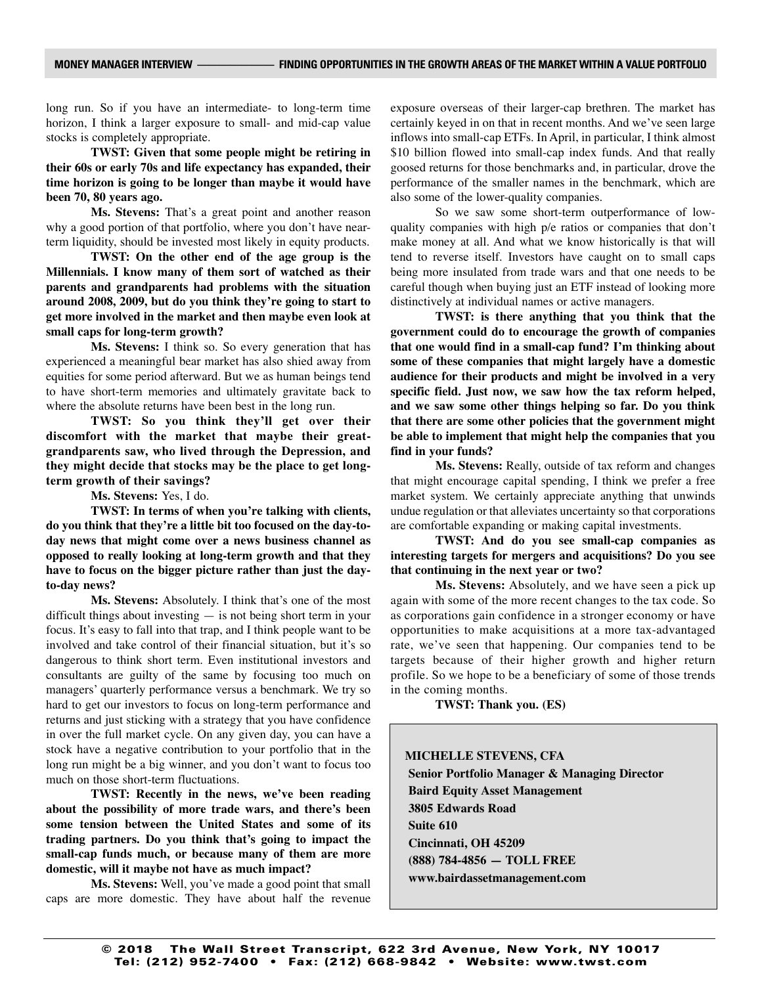long run. So if you have an intermediate- to long-term time horizon, I think a larger exposure to small- and mid-cap value stocks is completely appropriate.

**TWST: Given that some people might be retiring in their 60s or early 70s and life expectancy has expanded, their time horizon is going to be longer than maybe it would have been 70, 80 years ago.**

**Ms. Stevens:** That's a great point and another reason why a good portion of that portfolio, where you don't have nearterm liquidity, should be invested most likely in equity products.

**TWST: On the other end of the age group is the Millennials. I know many of them sort of watched as their parents and grandparents had problems with the situation around 2008, 2009, but do you think they're going to start to get more involved in the market and then maybe even look at small caps for long-term growth?**

**Ms. Stevens:** I think so. So every generation that has experienced a meaningful bear market has also shied away from equities for some period afterward. But we as human beings tend to have short-term memories and ultimately gravitate back to where the absolute returns have been best in the long run.

**TWST: So you think they'll get over their discomfort with the market that maybe their greatgrandparents saw, who lived through the Depression, and they might decide that stocks may be the place to get longterm growth of their savings?**

**Ms. Stevens:** Yes, I do.

**TWST: In terms of when you're talking with clients, do you think that they're a little bit too focused on the day-today news that might come over a news business channel as opposed to really looking at long-term growth and that they have to focus on the bigger picture rather than just the dayto-day news?**

**Ms. Stevens:** Absolutely. I think that's one of the most difficult things about investing — is not being short term in your focus. It's easy to fall into that trap, and I think people want to be involved and take control of their financial situation, but it's so dangerous to think short term. Even institutional investors and consultants are guilty of the same by focusing too much on managers' quarterly performance versus a benchmark. We try so hard to get our investors to focus on long-term performance and returns and just sticking with a strategy that you have confidence in over the full market cycle. On any given day, you can have a stock have a negative contribution to your portfolio that in the long run might be a big winner, and you don't want to focus too much on those short-term fluctuations.

**TWST: Recently in the news, we've been reading about the possibility of more trade wars, and there's been some tension between the United States and some of its trading partners. Do you think that's going to impact the small-cap funds much, or because many of them are more domestic, will it maybe not have as much impact?**

**Ms. Stevens:** Well, you've made a good point that small caps are more domestic. They have about half the revenue

exposure overseas of their larger-cap brethren. The market has certainly keyed in on that in recent months. And we've seen large inflows into small-cap ETFs. In April, in particular, I think almost \$10 billion flowed into small-cap index funds. And that really goosed returns for those benchmarks and, in particular, drove the performance of the smaller names in the benchmark, which are also some of the lower-quality companies.

So we saw some short-term outperformance of lowquality companies with high p/e ratios or companies that don't make money at all. And what we know historically is that will tend to reverse itself. Investors have caught on to small caps being more insulated from trade wars and that one needs to be careful though when buying just an ETF instead of looking more distinctively at individual names or active managers.

**TWST: is there anything that you think that the government could do to encourage the growth of companies that one would find in a small-cap fund? I'm thinking about some of these companies that might largely have a domestic audience for their products and might be involved in a very specific field. Just now, we saw how the tax reform helped, and we saw some other things helping so far. Do you think that there are some other policies that the government might be able to implement that might help the companies that you find in your funds?**

**Ms. Stevens:** Really, outside of tax reform and changes that might encourage capital spending, I think we prefer a free market system. We certainly appreciate anything that unwinds undue regulation or that alleviates uncertainty so that corporations are comfortable expanding or making capital investments.

**TWST: And do you see small-cap companies as interesting targets for mergers and acquisitions? Do you see that continuing in the next year or two?**

**Ms. Stevens:** Absolutely, and we have seen a pick up again with some of the more recent changes to the tax code. So as corporations gain confidence in a stronger economy or have opportunities to make acquisitions at a more tax-advantaged rate, we've seen that happening. Our companies tend to be targets because of their higher growth and higher return profile. So we hope to be a beneficiary of some of those trends in the coming months.

**TWST: Thank you. (ES)**

**MICHELLE STEVENS, CFA Senior Portfolio Manager & Managing Director Baird Equity Asset Management 3805 Edwards Road Suite 610 Cincinnati, OH 45209 (888) 784-4856 — TOLL FREE www.bairdassetmanagement.com**